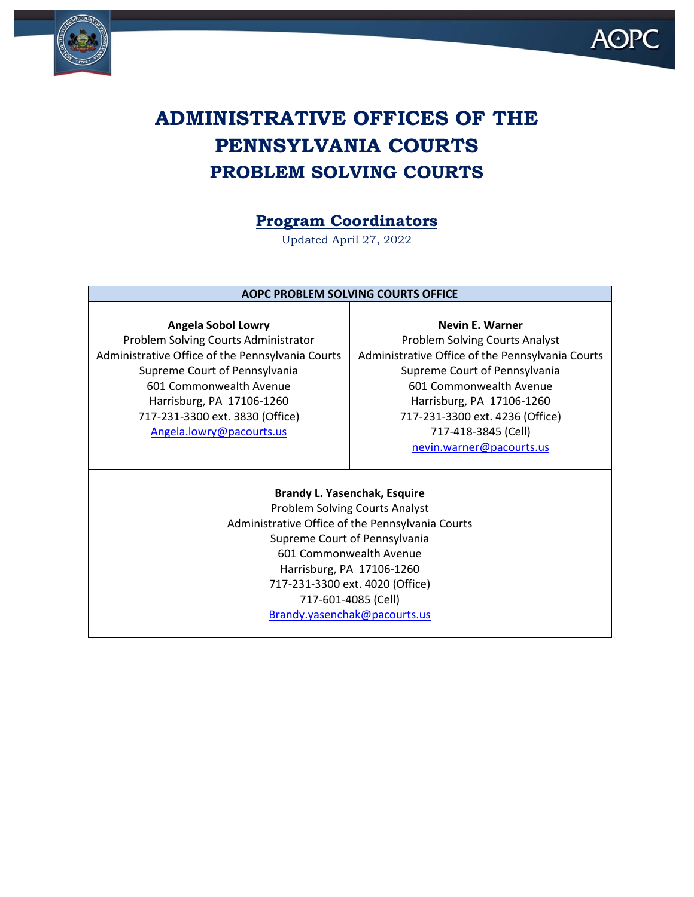



# **ADMINISTRATIVE OFFICES OF THE PENNSYLVANIA COURTS PROBLEM SOLVING COURTS**

## **Program Coordinators**

Updated April 27, 2022

### **AOPC PROBLEM SOLVING COURTS OFFICE**

**Angela Sobol Lowry** Problem Solving Courts Administrator Administrative Office of the Pennsylvania Courts Supreme Court of Pennsylvania 601 Commonwealth Avenue Harrisburg, PA 17106-1260 717-231-3300 ext. 3830 (Office) [Angela.lowry@pacourts.us](mailto:Angela.lowry@pacourts.us)

**Nevin E. Warner** Problem Solving Courts Analyst Administrative Office of the Pennsylvania Courts Supreme Court of Pennsylvania 601 Commonwealth Avenue Harrisburg, PA 17106-1260 717-231-3300 ext. 4236 (Office) 717-418-3845 (Cell) [nevin.warner@pacourts.us](mailto:nevin.warner@pacourts.us)

### **Brandy L. Yasenchak, Esquire** Problem Solving Courts Analyst Administrative Office of the Pennsylvania Courts Supreme Court of Pennsylvania 601 Commonwealth Avenue Harrisburg, PA 17106-1260 717-231-3300 ext. 4020 (Office) 717-601-4085 (Cell) [Brandy.yasenchak@pacourts.us](mailto:Brandy.yasenchak@pacourts.us)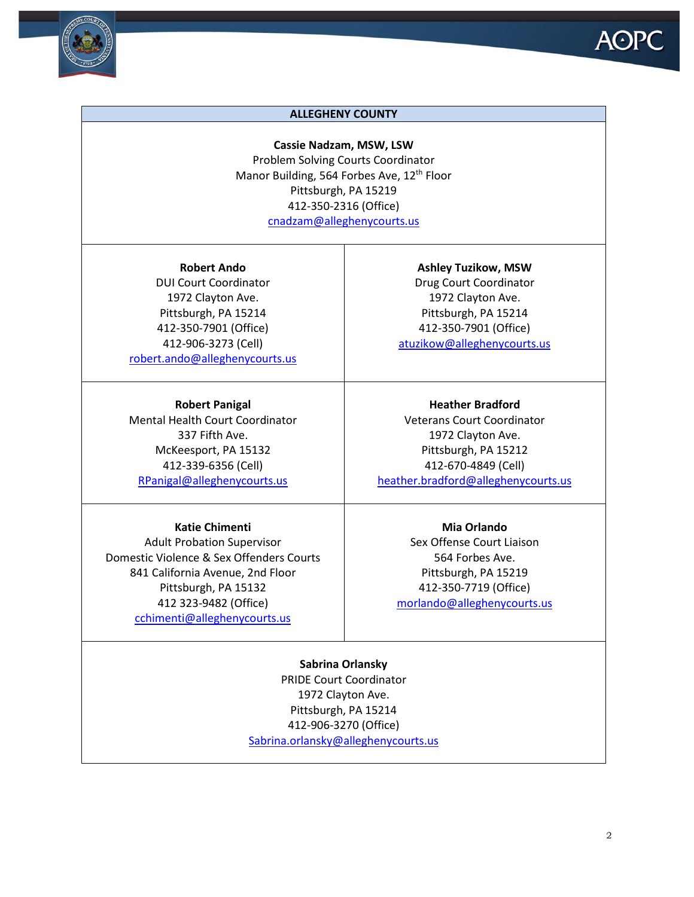

#### **ALLEGHENY COUNTY**

**Cassie Nadzam, MSW, LSW** Problem Solving Courts Coordinator Manor Building, 564 Forbes Ave, 12<sup>th</sup> Floor Pittsburgh, PA 15219 412-350-2316 (Office) [cnadzam@alleghenycourts.us](mailto:cnadzam@alleghenycourts.us)

**Robert Ando** DUI Court Coordinator 1972 Clayton Ave. Pittsburgh, PA 15214 412-350-7901 (Office) 412-906-3273 (Cell) [robert.ando@alleghenycourts.us](mailto:robert.ando@alleghenycourts.us)

**Robert Panigal** Mental Health Court Coordinator 337 Fifth Ave. McKeesport, PA 15132 412-339-6356 (Cell) [RPanigal@alleghenycourts.us](mailto:RPanigal@alleghenycourts.us)

#### **Katie Chimenti**

Adult Probation Supervisor Domestic Violence & Sex Offenders Courts 841 California Avenue, 2nd Floor Pittsburgh, PA 15132 412 323-9482 (Office) [cchimenti@alleghenycourts.us](mailto:cchimenti@alleghenycourts.us)

**Ashley Tuzikow, MSW** Drug Court Coordinator 1972 Clayton Ave. Pittsburgh, PA 15214 412-350-7901 (Office) [atuzikow@alleghenycourts.us](mailto:atuzikow@alleghenycourts.us)

**Heather Bradford** Veterans Court Coordinator 1972 Clayton Ave. Pittsburgh, PA 15212 412-670-4849 (Cell) [heather.bradford@alleghenycourts.us](mailto:heather.bradford@alleghenycourts.us)

**Mia Orlando**

Sex Offense Court Liaison 564 Forbes Ave. Pittsburgh, PA 15219 412-350-7719 (Office) [morlando@alleghenycourts.us](mailto:morlando@alleghenycourts.us)

**Sabrina Orlansky**

PRIDE Court Coordinator 1972 Clayton Ave. Pittsburgh, PA 15214 412-906-3270 (Office) [Sabrina.orlansky@alleghenycourts.us](mailto:Sabrina.orlansky@alleghenycourts.us)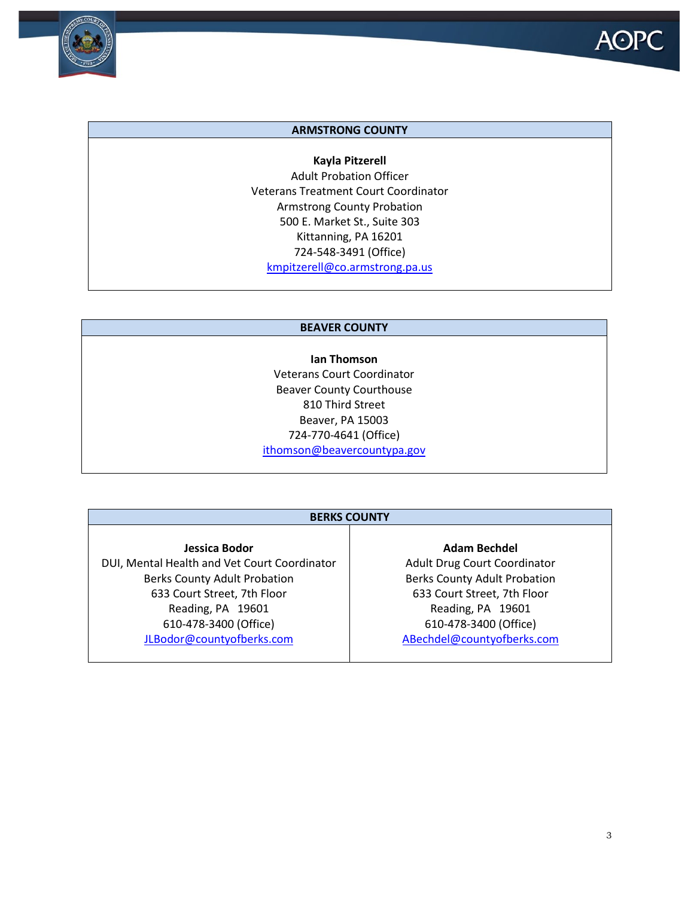

#### **ARMSTRONG COUNTY**

**Kayla Pitzerell** Adult Probation Officer Veterans Treatment Court Coordinator Armstrong County Probation 500 E. Market St., Suite 303 Kittanning, PA 16201 724-548-3491 (Office) [kmpitzerell@co.armstrong.pa.us](mailto:kmpitzerell@co.armstrong.pa.us)

#### **BEAVER COUNTY**

**Ian Thomson** Veterans Court Coordinator Beaver County Courthouse 810 Third Street Beaver, PA 15003 724-770-4641 (Office) [ithomson@beavercountypa.gov](mailto:ithomson@beavercountypa.gov)

#### **BERKS COUNTY**

**Jessica Bodor** DUI, Mental Health and Vet Court Coordinator Berks County Adult Probation 633 Court Street, 7th Floor Reading, PA 19601 610-478-3400 (Office) [JLBodor@countyofberks.com](mailto:JLBodor@countyofberks.com)

#### **Adam Bechdel**

Adult Drug Court Coordinator Berks County Adult Probation 633 Court Street, 7th Floor Reading, PA 19601 610-478-3400 (Office) [ABechdel@countyofberks.com](mailto:ABechdel@countyofberks.com)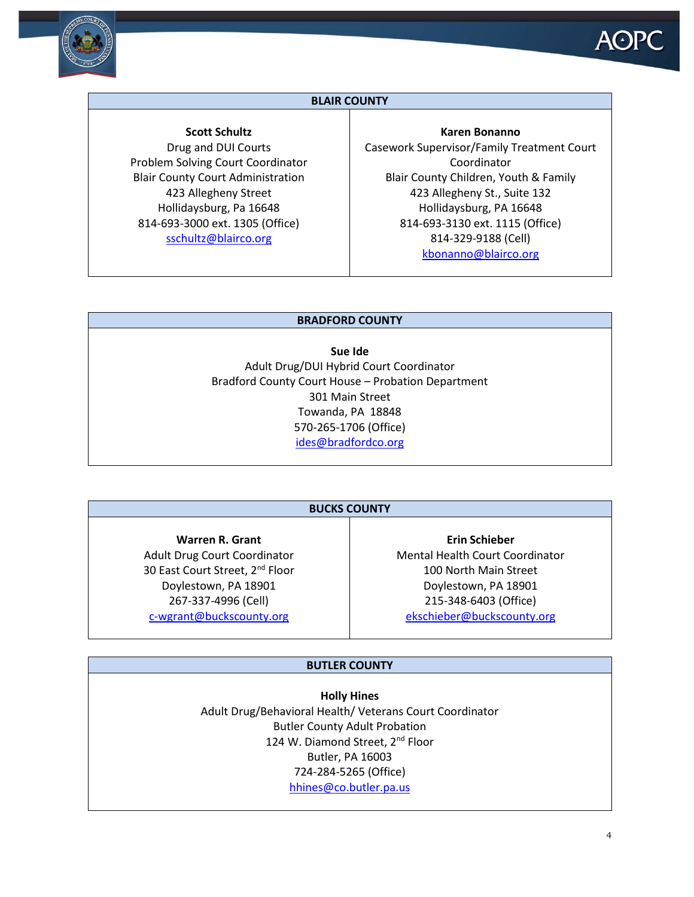

### **BLAIR COUNTY**

**Scott Schultz** Drug and DUI Courts Problem Solving Court Coordinator Blair County Court Administration 423 Allegheny Street Hollidaysburg, Pa 16648 814-693-3000 ext. 1305 (Office) [sschultz@blairco.org](mailto:sschultz@blairco.org)

**Karen Bonanno** Casework Supervisor/Family Treatment Court Coordinator Blair County Children, Youth & Family 423 Allegheny St., Suite 132 Hollidaysburg, PA 16648 814-693-3130 ext. 1115 (Office) 814-329-9188 (Cell) [kbonanno@blairco.org](mailto:kbonanno@blairco.org)

#### **BRADFORD COUNTY**

**Sue Ide** Adult Drug/DUI Hybrid Court Coordinator Bradford County Court House – Probation Department 301 Main Street Towanda, PA 18848 570-265-1706 (Office) [ides@bradfordco.org](mailto:ides@bradfordco.org)

### **BUCKS COUNTY**

**Warren R. Grant** Adult Drug Court Coordinator 30 East Court Street, 2<sup>nd</sup> Floor Doylestown, PA 18901 267-337-4996 (Cell) [c-wgrant@buckscounty.org](mailto:c-wgrant@buckscounty.org)

**Erin Schieber** Mental Health Court Coordinator 100 North Main Street Doylestown, PA 18901 215-348-6403 (Office) [ekschieber@buckscounty.org](mailto:ekschieber@buckscounty.org)

#### **BUTLER COUNTY**

**Holly Hines** Adult Drug/Behavioral Health/ Veterans Court Coordinator Butler County Adult Probation 124 W. Diamond Street, 2<sup>nd</sup> Floor Butler, PA 16003 724-284-5265 (Office) [hhines@co.butler.pa.us](mailto:hhines@co.butler.pa.us)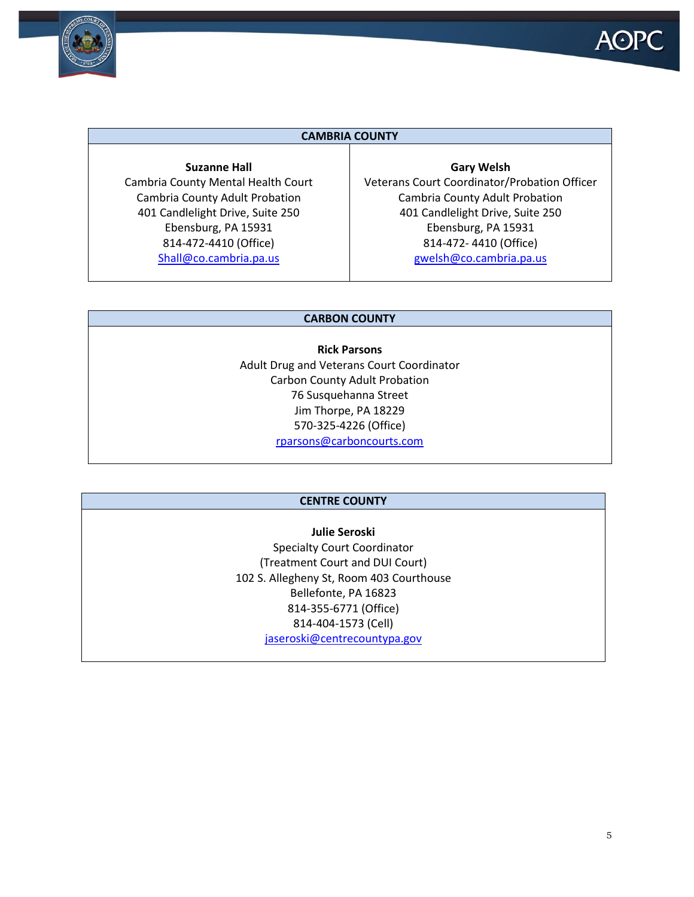



#### **CAMBRIA COUNTY**

**Suzanne Hall** Cambria County Mental Health Court Cambria County Adult Probation 401 Candlelight Drive, Suite 250 Ebensburg, PA 15931 814-472-4410 (Office) [Shall@co.cambria.pa.us](mailto:Shall@co.cambria.pa.us)

**Gary Welsh** Veterans Court Coordinator/Probation Officer Cambria County Adult Probation 401 Candlelight Drive, Suite 250 Ebensburg, PA 15931 814-472- 4410 (Office) [gwelsh@co.cambria.pa.us](mailto:gwelsh@co.cambria.pa.us)

#### **CARBON COUNTY**

**Rick Parsons** Adult Drug and Veterans Court Coordinator Carbon County Adult Probation 76 Susquehanna Street Jim Thorpe, PA 18229 570-325-4226 (Office) [rparsons@carboncourts.com](mailto:rparsons@carboncourts.com)

#### **CENTRE COUNTY**

**Julie Seroski** Specialty Court Coordinator (Treatment Court and DUI Court) 102 S. Allegheny St, Room 403 Courthouse Bellefonte, PA 16823 814-355-6771 (Office) 814-404-1573 (Cell) [jaseroski@centrecountypa.gov](mailto:jaseroski@centrecountypa.gov)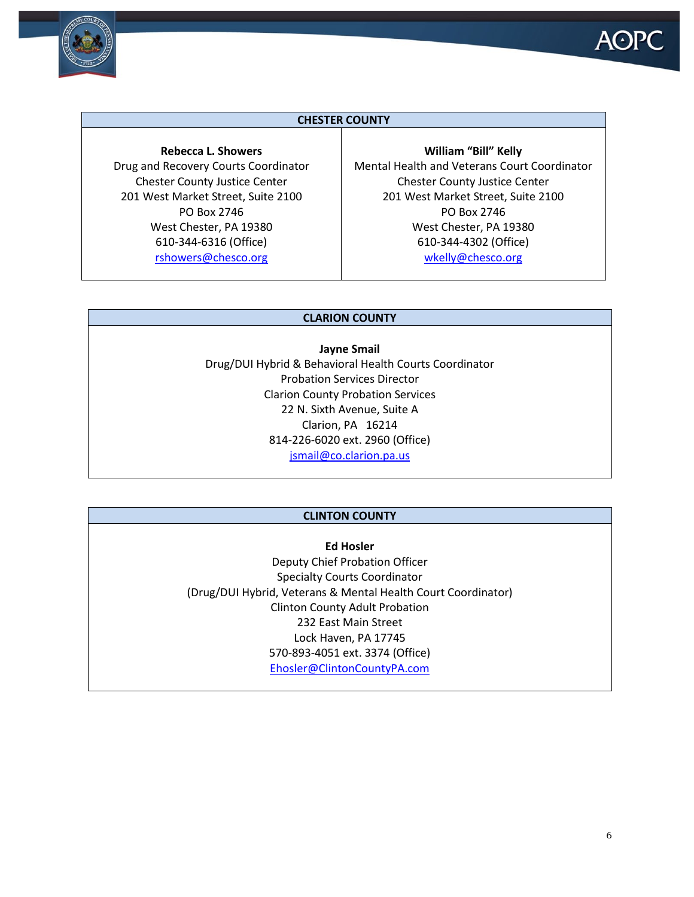



#### **CHESTER COUNTY**

**Rebecca L. Showers** Drug and Recovery Courts Coordinator Chester County Justice Center 201 West Market Street, Suite 2100 PO Box 2746 West Chester, PA 19380 610-344-6316 (Office) [rshowers@chesco.org](mailto:rshowers@chesco.org)

**William "Bill" Kelly** Mental Health and Veterans Court Coordinator Chester County Justice Center 201 West Market Street, Suite 2100 PO Box 2746 West Chester, PA 19380 610-344-4302 (Office) [wkelly@chesco.org](mailto:wkelly@chesco.org)

#### **CLARION COUNTY**

**Jayne Smail**  Drug/DUI Hybrid & Behavioral Health Courts Coordinator Probation Services Director Clarion County Probation Services 22 N. Sixth Avenue, Suite A Clarion, PA 16214 814-226-6020 ext. 2960 (Office) [jsmail@co.clarion.pa.us](mailto:jsmail@co.clarion.pa.us)

#### **CLINTON COUNTY**

**Ed Hosler** Deputy Chief Probation Officer Specialty Courts Coordinator (Drug/DUI Hybrid, Veterans & Mental Health Court Coordinator) Clinton County Adult Probation 232 East Main Street Lock Haven, PA 17745 570-893-4051 ext. 3374 (Office) [Ehosler@ClintonCountyPA.com](mailto:Ehosler@ClintonCountyPA.com)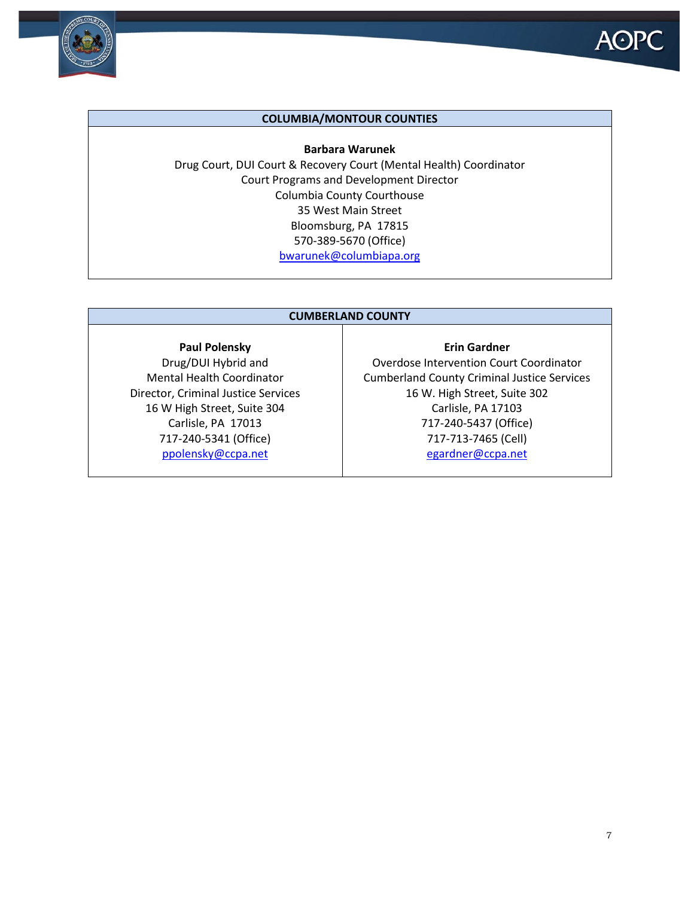



#### **COLUMBIA/MONTOUR COUNTIES**

**Barbara Warunek** Drug Court, DUI Court & Recovery Court (Mental Health) Coordinator Court Programs and Development Director Columbia County Courthouse 35 West Main Street Bloomsburg, PA 17815 570-389-5670 (Office) [bwarunek@columbiapa.org](mailto:bwarunek@columbiapa.org)

#### **CUMBERLAND COUNTY**

#### **Paul Polensky**

Drug/DUI Hybrid and Mental Health Coordinator Director, Criminal Justice Services 16 W High Street, Suite 304 Carlisle, PA 17013 717-240-5341 (Office) [ppolensky@ccpa.net](mailto:ppolensky@ccpa.net)

### **Erin Gardner** Overdose Intervention Court Coordinator Cumberland County Criminal Justice Services 16 W. High Street, Suite 302 Carlisle, PA 17103 717-240-5437 (Office) 717-713-7465 (Cell) [egardner@ccpa.net](mailto:egardner@ccpa.net)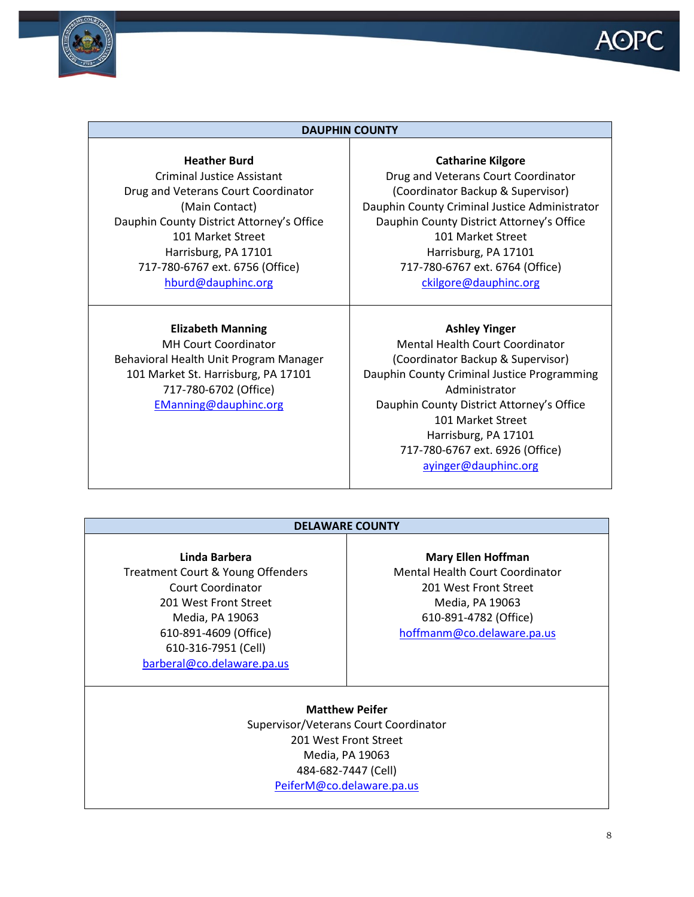



#### **DAUPHIN COUNTY**

#### **Heather Burd**

Criminal Justice Assistant Drug and Veterans Court Coordinator (Main Contact) Dauphin County District Attorney's Office 101 Market Street Harrisburg, PA 17101 717-780-6767 ext. 6756 (Office) [hburd@dauphinc.org](mailto:hburd@dauphinc.org)

#### **Elizabeth Manning**

MH Court Coordinator Behavioral Health Unit Program Manager 101 Market St. Harrisburg, PA 17101 717-780-6702 (Office) [EManning@dauphinc.org](mailto:EManning@dauphinc.org)

#### **Catharine Kilgore**

Drug and Veterans Court Coordinator (Coordinator Backup & Supervisor) Dauphin County Criminal Justice Administrator Dauphin County District Attorney's Office 101 Market Street Harrisburg, PA 17101 717-780-6767 ext. 6764 (Office) [ckilgore@dauphinc.org](mailto:ckilgore@dauphinc.org)

#### **Ashley Yinger**

Mental Health Court Coordinator (Coordinator Backup & Supervisor) Dauphin County Criminal Justice Programming Administrator Dauphin County District Attorney's Office 101 Market Street Harrisburg, PA 17101 717-780-6767 ext. 6926 (Office) [ayinger@dauphinc.org](mailto:ayinger@dauphinc.org)

#### **DELAWARE COUNTY**

**Linda Barbera**

Treatment Court & Young Offenders Court Coordinator 201 West Front Street Media, PA 19063 610-891-4609 (Office) 610-316-7951 (Cell) [barberal@co.delaware.pa.us](mailto:barberal@co.delaware.pa.us)

**Mary Ellen Hoffman** Mental Health Court Coordinator 201 West Front Street Media, PA 19063 610-891-4782 (Office) [hoffmanm@co.delaware.pa.us](mailto:hoffmanm@co.delaware.pa.us)

**Matthew Peifer** Supervisor/Veterans Court Coordinator 201 West Front Street Media, PA 19063 484-682-7447 (Cell) [PeiferM@co.delaware.pa.us](mailto:PeiferM@co.delaware.pa.us)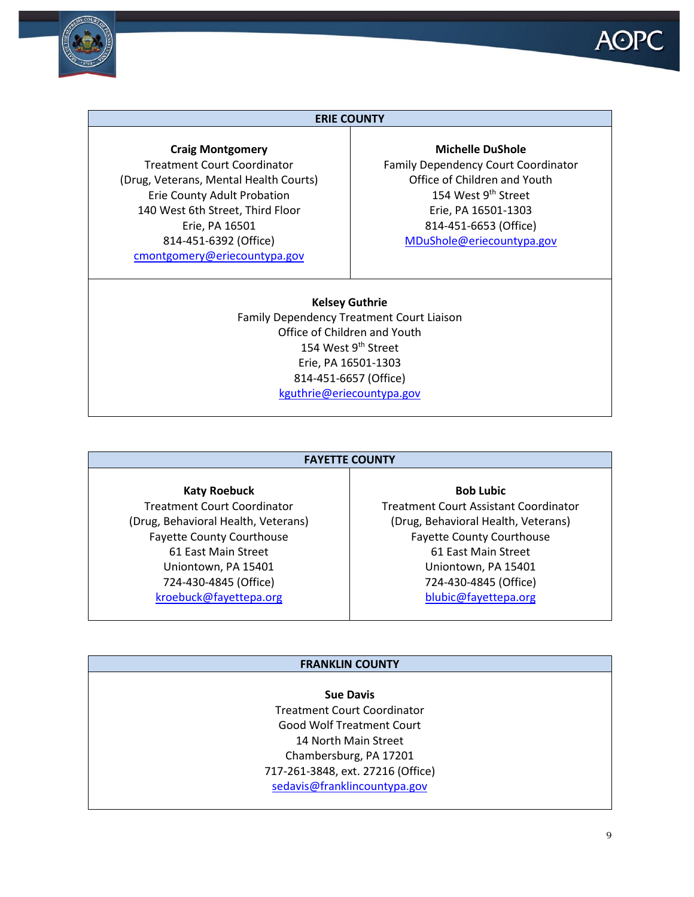

#### **ERIE COUNTY**

#### **Craig Montgomery**

Treatment Court Coordinator (Drug, Veterans, Mental Health Courts) Erie County Adult Probation 140 West 6th Street, Third Floor Erie, PA 16501 814-451-6392 (Office) [cmontgomery@eriecountypa.gov](mailto:cmontgomery@eriecountypa.gov)

#### **Michelle DuShole**

Family Dependency Court Coordinator Office of Children and Youth 154 West 9<sup>th</sup> Street Erie, PA 16501-1303 814-451-6653 (Office) [MDuShole@eriecountypa.gov](mailto:MDuShole@eriecountypa.gov)

**Kelsey Guthrie** Family Dependency Treatment Court Liaison Office of Children and Youth 154 West 9<sup>th</sup> Street Erie, PA 16501-1303 814-451-6657 (Office) [kguthrie@eriecountypa.gov](mailto:kguthrie@eriecountypa.gov)

#### **FAYETTE COUNTY**

**Katy Roebuck** Treatment Court Coordinator (Drug, Behavioral Health, Veterans) Fayette County Courthouse 61 East Main Street Uniontown, PA 15401 724-430-4845 (Office) [kroebuck@fayettepa.org](mailto:kroebuck@fayettepa.org)

### Treatment Court Assistant Coordinator (Drug, Behavioral Health, Veterans) Fayette County Courthouse 61 East Main Street Uniontown, PA 15401 724-430-4845 (Office) [blubic@fayettepa.org](mailto:blubic@fayettepa.org)

**Bob Lubic**

**FRANKLIN COUNTY**

#### **Sue Davis**

Treatment Court Coordinator Good Wolf Treatment Court 14 North Main Street Chambersburg, PA 17201 717-261-3848, ext. 27216 (Office) [sedavis@franklincountypa.gov](mailto:sedavis@franklincountypa.gov)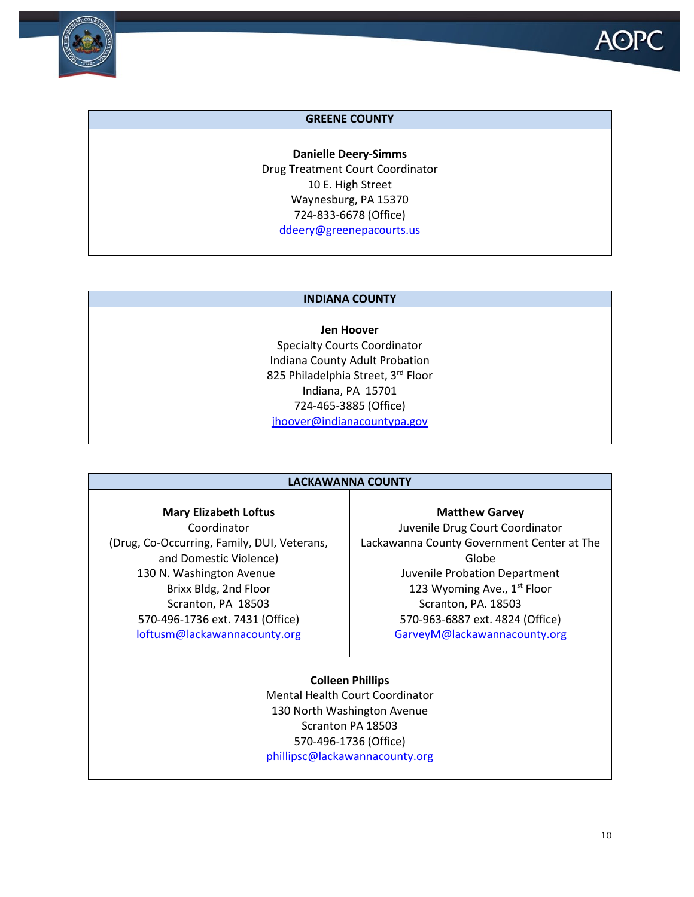



#### **GREENE COUNTY**

**Danielle Deery-Simms** Drug Treatment Court Coordinator 10 E. High Street Waynesburg, PA 15370 724-833-6678 (Office) [ddeery@greenepacourts.us](mailto:ddeery@greenepacourts.us)

#### **INDIANA COUNTY**

**Jen Hoover** Specialty Courts Coordinator Indiana County Adult Probation 825 Philadelphia Street, 3rd Floor Indiana, PA 15701 724-465-3885 (Office) [jhoover@indianacountypa.gov](mailto:jhoover@indianacountypa.gov)

#### **LACKAWANNA COUNTY**

#### **Mary Elizabeth Loftus**

Coordinator (Drug, Co-Occurring, Family, DUI, Veterans, and Domestic Violence) 130 N. Washington Avenue Brixx Bldg, 2nd Floor Scranton, PA 18503 570-496-1736 ext. 7431 (Office) [loftusm@lackawannacounty.org](mailto:loftusm@lackawannacounty.org)

**Matthew Garvey** Juvenile Drug Court Coordinator Lackawanna County Government Center at The Globe Juvenile Probation Department 123 Wyoming Ave., 1<sup>st</sup> Floor Scranton, PA. 18503 570-963-6887 ext. 4824 (Office) [GarveyM@lackawannacounty.org](mailto:GarveyM@lackawannacounty.org)

#### **Colleen Phillips**

Mental Health Court Coordinator 130 North Washington Avenue Scranton PA 18503 570-496-1736 (Office) [phillipsc@lackawannacounty.org](mailto:phillipsc@lackawannacounty.org)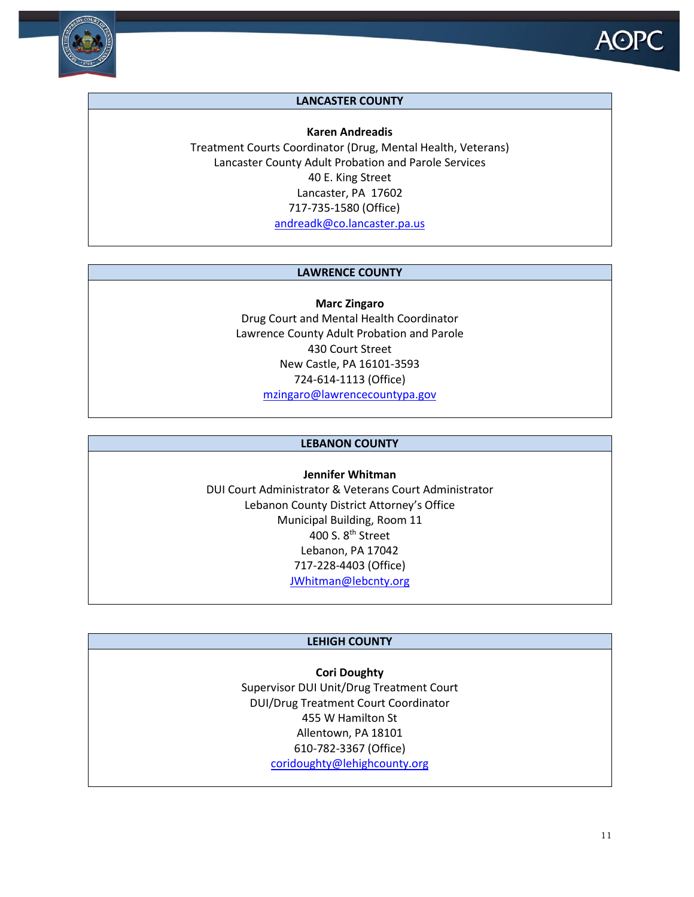

### **LANCASTER COUNTY**

**Karen Andreadis** Treatment Courts Coordinator (Drug, Mental Health, Veterans) Lancaster County Adult Probation and Parole Services 40 E. King Street Lancaster, PA 17602 717-735-1580 (Office) [andreadk@co.lancaster.pa.us](mailto:andreadk@co.lancaster.pa.us)

#### **LAWRENCE COUNTY**

**Marc Zingaro** Drug Court and Mental Health Coordinator Lawrence County Adult Probation and Parole 430 Court Street New Castle, PA 16101-3593 724-614-1113 (Office) [mzingaro@lawrencecountypa.gov](mailto:mzingaro@lawrencecountypa.gov)

#### **LEBANON COUNTY**

**Jennifer Whitman** DUI Court Administrator & Veterans Court Administrator Lebanon County District Attorney's Office Municipal Building, Room 11 400 S. 8<sup>th</sup> Street Lebanon, PA 17042 717-228-4403 (Office) [JWhitman@lebcnty.org](mailto:JWhitman@lebcnty.org)

#### **LEHIGH COUNTY**

**Cori Doughty** Supervisor DUI Unit/Drug Treatment Court DUI/Drug Treatment Court Coordinator 455 W Hamilton St Allentown, PA 18101 610-782-3367 (Office) [coridoughty@lehighcounty.org](mailto:coridoughty@lehighcounty.org)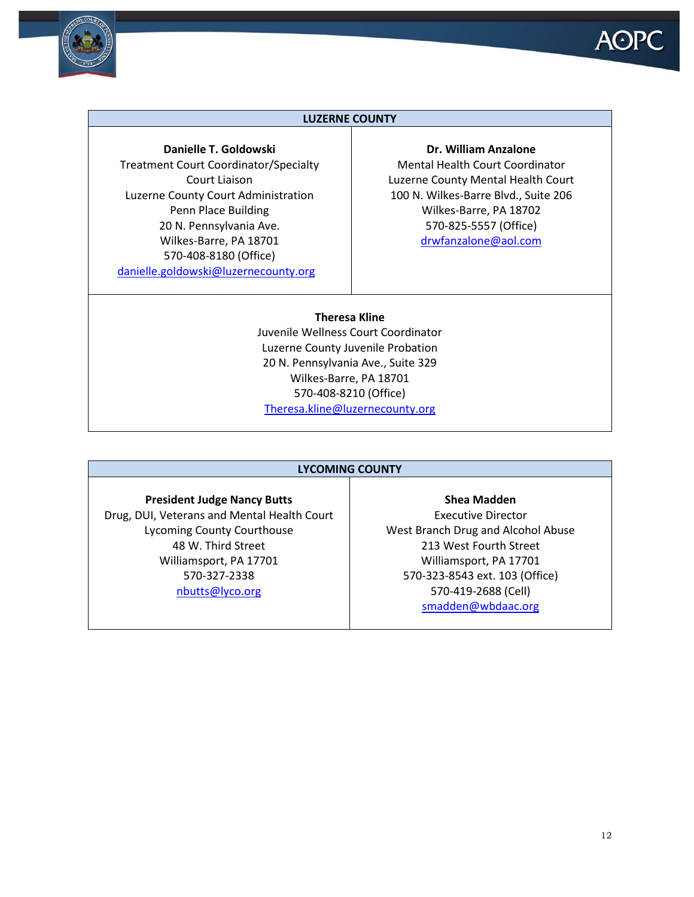



#### **LUZERNE COUNTY**

#### **Danielle T. Goldowski**

Treatment Court Coordinator/Specialty Court Liaison Luzerne County Court Administration Penn Place Building 20 N. Pennsylvania Ave. Wilkes-Barre, PA 18701 570-408-8180 (Office) [danielle.goldowski@luzernecounty.org](mailto:danielle.goldowski@luzernecounty.org)

#### **Dr. William Anzalone**

Mental Health Court Coordinator Luzerne County Mental Health Court 100 N. Wilkes-Barre Blvd., Suite 206 Wilkes-Barre, PA 18702 570-825-5557 (Office) [drwfanzalone@aol.com](mailto:drwfanzalone@aol.com)

## **Theresa Kline**

Juvenile Wellness Court Coordinator Luzerne County Juvenile Probation 20 N. Pennsylvania Ave., Suite 329 Wilkes-Barre, PA 18701 570-408-8210 (Office) [Theresa.kline@luzernecounty.org](mailto:Theresa.kline@luzernecounty.org)

#### **LYCOMING COUNTY**

#### **President Judge Nancy Butts**

Drug, DUI, Veterans and Mental Health Court Lycoming County Courthouse 48 W. Third Street Williamsport, PA 17701 570-327-2338 [nbutts@lyco.org](mailto:nbutts@lyco.org)

Executive Director West Branch Drug and Alcohol Abuse 213 West Fourth Street Williamsport, PA 17701 570-323-8543 ext. 103 (Office) 570-419-2688 (Cell) [smadden@wbdaac.org](mailto:smadden@wbdaac.org)

**Shea Madden**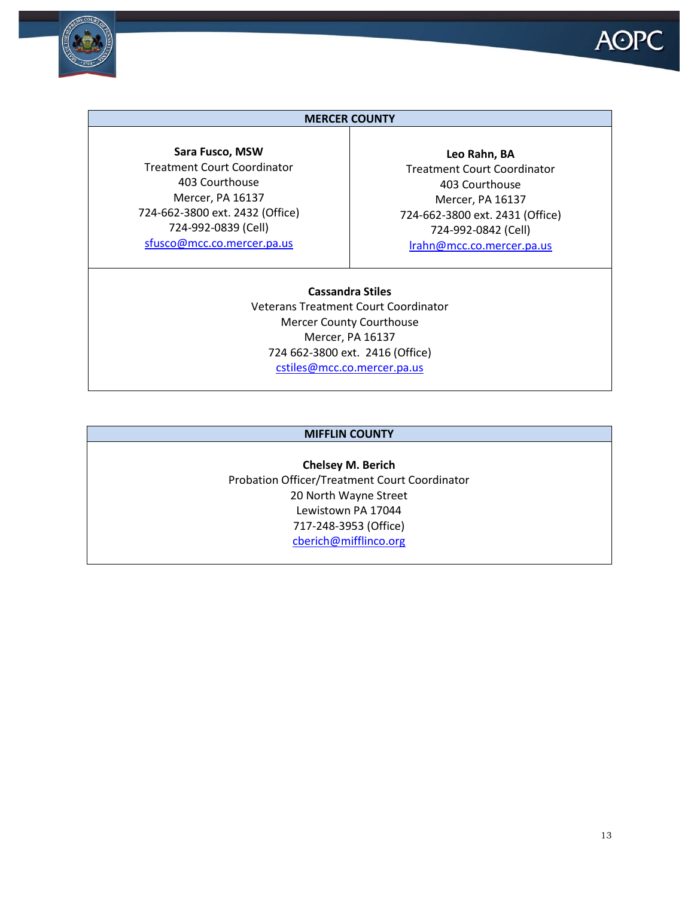

#### **MERCER COUNTY**

**Sara Fusco, MSW** Treatment Court Coordinator 403 Courthouse Mercer, PA 16137 724-662-3800 ext. 2432 (Office) 724-992-0839 (Cell) [sfusco@mcc.co.mercer.pa.us](mailto:sfusco@mcc.co.mercer.pa.us)

**Leo Rahn, BA** Treatment Court Coordinator 403 Courthouse Mercer, PA 16137 724-662-3800 ext. 2431 (Office) 724-992-0842 (Cell) [lrahn@mcc.co.mercer.pa.us](mailto:lrahn@mcc.co.mercer.pa.us)

**Cassandra Stiles** Veterans Treatment Court Coordinator Mercer County Courthouse Mercer, PA 16137 724 662-3800 ext. 2416 (Office) [cstiles@mcc.co.mercer.pa.us](mailto:cstiles@mcc.co.mercer.pa.us)

#### **MIFFLIN COUNTY**

**Chelsey M. Berich** Probation Officer/Treatment Court Coordinator 20 North Wayne Street Lewistown PA 17044 717-248-3953 (Office) [cberich@mifflinco.org](mailto:cberich@mifflinco.org)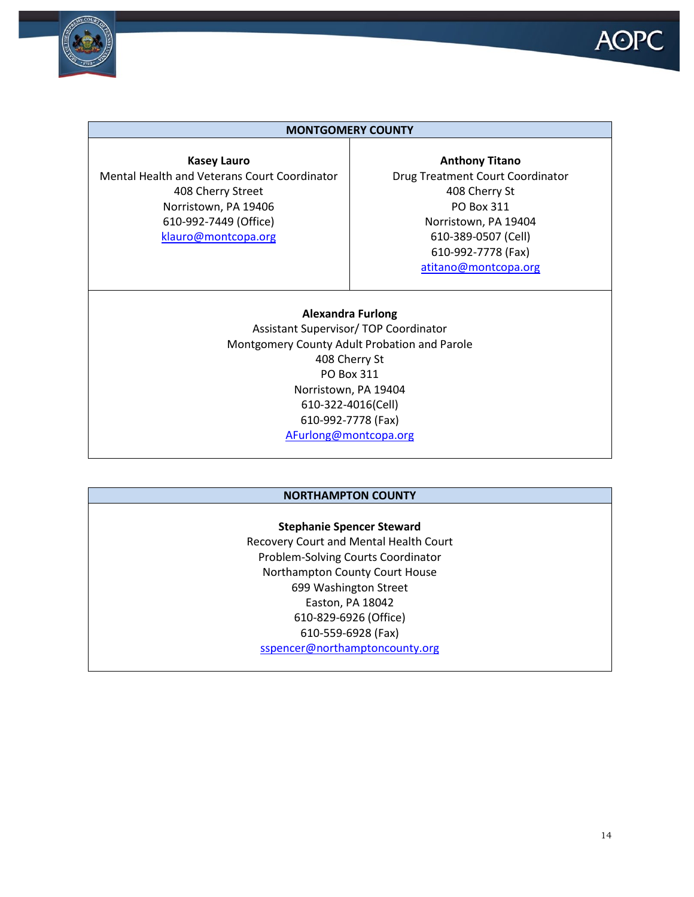



#### **MONTGOMERY COUNTY**

**Kasey Lauro** Mental Health and Veterans Court Coordinator 408 Cherry Street Norristown, PA 19406 610-992-7449 (Office) [klauro@montcopa.org](mailto:bdistani@montcopa.org)

**Anthony Titano** Drug Treatment Court Coordinator 408 Cherry St PO Box 311 Norristown, PA 19404 610-389-0507 (Cell) 610-992-7778 (Fax) [atitano@montcopa.org](mailto:atitano@montcopa.org)

#### **Alexandra Furlong**

Assistant Supervisor/ TOP Coordinator Montgomery County Adult Probation and Parole 408 Cherry St PO Box 311 Norristown, PA 19404 610-322-4016(Cell) 610-992-7778 (Fax) [AFurlong@montcopa.org](mailto:AFurlong@montcopa.org)

#### **NORTHAMPTON COUNTY**

#### **Stephanie Spencer Steward**

Recovery Court and Mental Health Court Problem-Solving Courts Coordinator Northampton County Court House 699 Washington Street Easton, PA 18042 610-829-6926 (Office) 610-559-6928 (Fax) [sspencer@northamptoncounty.org](mailto:sspencer@northamptoncounty.org)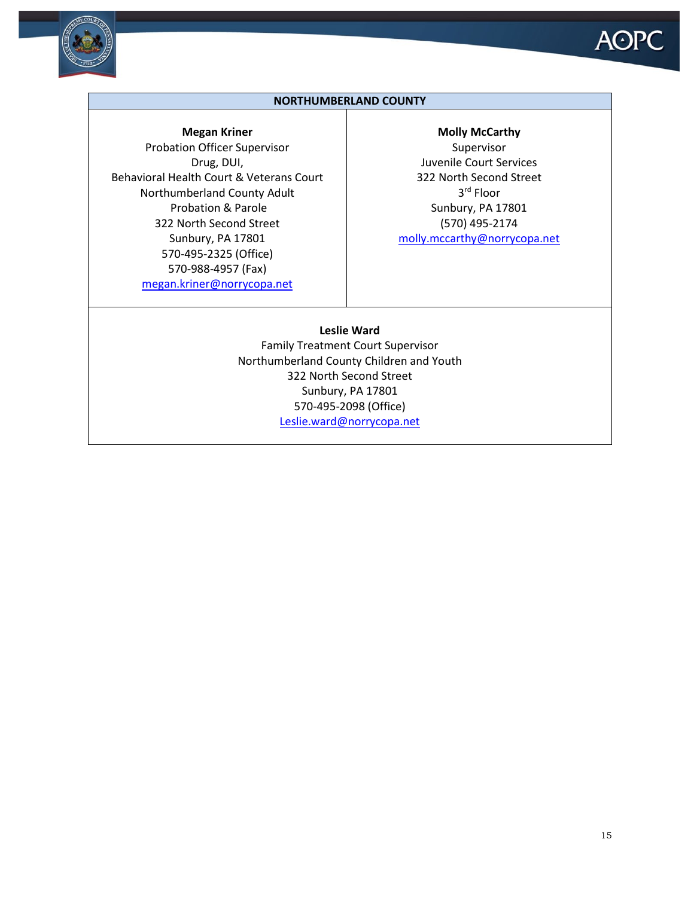



#### **NORTHUMBERLAND COUNTY**

**Megan Kriner**

Probation Officer Supervisor Drug, DUI, Behavioral Health Court & Veterans Court Northumberland County Adult Probation & Parole 322 North Second Street Sunbury, PA 17801 570-495-2325 (Office) 570-988-4957 (Fax) [megan.kriner@norrycopa.net](mailto:megan.kriner@norrycopa.net)

#### **Molly McCarthy**

Supervisor Juvenile Court Services 322 North Second Street 3rd Floor Sunbury, PA 17801 (570) 495-2174 [molly.mccarthy@norrycopa.net](mailto:molly.mccarthy@norrycopa.net)

#### **Leslie Ward**

Family Treatment Court Supervisor Northumberland County Children and Youth 322 North Second Street Sunbury, PA 17801 570-495-2098 (Office) [Leslie.ward@norrycopa.net](mailto:Leslie.ward@norrycopa.net)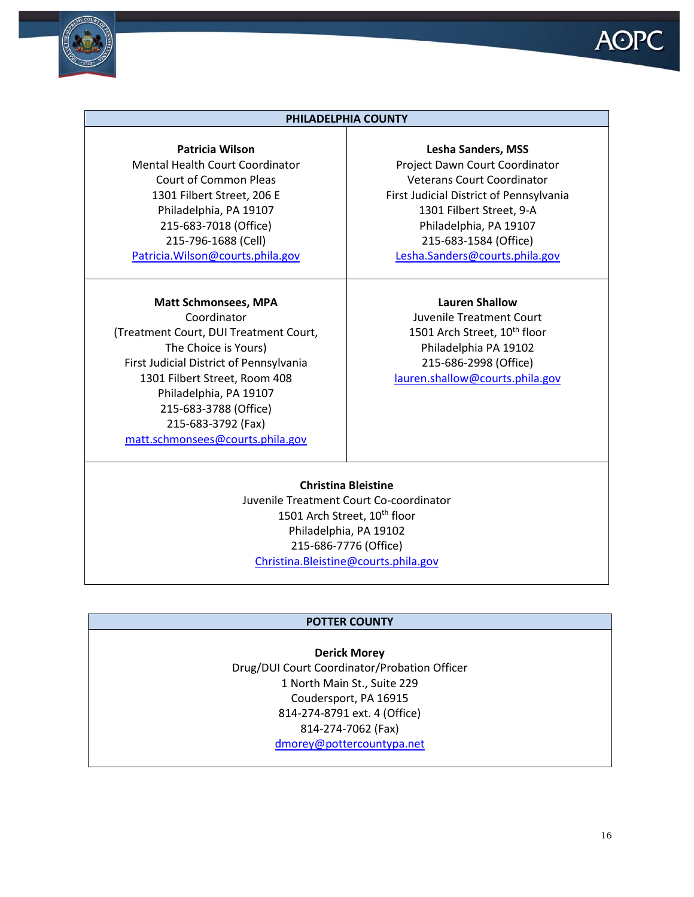

#### **PHILADELPHIA COUNTY**

#### **Patricia Wilson**

Mental Health Court Coordinator Court of Common Pleas 1301 Filbert Street, 206 E Philadelphia, PA 19107 215-683-7018 (Office) 215-796-1688 (Cell) [Patricia.Wilson@courts.phila.gov](mailto:Patricia.Wilson@courts.phila.gov)

#### **Matt Schmonsees, MPA**

Coordinator (Treatment Court, DUI Treatment Court, The Choice is Yours) First Judicial District of Pennsylvania 1301 Filbert Street, Room 408 Philadelphia, PA 19107 215-683-3788 (Office) 215-683-3792 (Fax) [matt.schmonsees@courts.phila.gov](mailto:matt.schmonsees@courts.phila.gov)

**Lesha Sanders, MSS** Project Dawn Court Coordinator Veterans Court Coordinator First Judicial District of Pennsylvania 1301 Filbert Street, 9-A Philadelphia, PA 19107 215-683-1584 (Office) [Lesha.Sanders@courts.phila.gov](mailto:Patricia.Wilson@courts.phila.gov)

#### **Lauren Shallow**

Juvenile Treatment Court 1501 Arch Street, 10<sup>th</sup> floor Philadelphia PA 19102 215-686-2998 (Office) [lauren.shallow@courts.phila.gov](mailto:lauren.shallow@courts.phila.gov)

**Christina Bleistine** Juvenile Treatment Court Co-coordinator 1501 Arch Street, 10<sup>th</sup> floor Philadelphia, PA 19102 215-686-7776 (Office) [Christina.Bleistine@courts.phila.gov](mailto:Christina.Bleistine@courts.phila.gov)

#### **POTTER COUNTY**

**Derick Morey** Drug/DUI Court Coordinator/Probation Officer 1 North Main St., Suite 229 Coudersport, PA 16915 814-274-8791 ext. 4 (Office) 814-274-7062 (Fax) [dmorey@pottercountypa.net](mailto:dmorey@pottercountypa.net)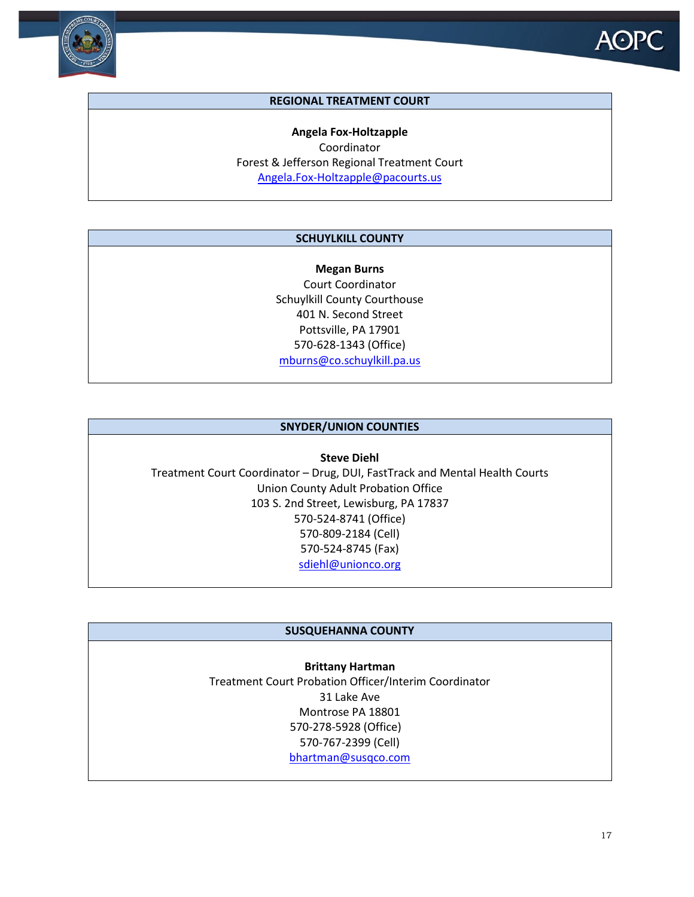

#### **REGIONAL TREATMENT COURT**

**Angela Fox-Holtzapple** Coordinator Forest & Jefferson Regional Treatment Court [Angela.Fox-Holtzapple@pacourts.us](mailto:Angela.Fox-Holtzapple@pacourts.us)

#### **SCHUYLKILL COUNTY**

**Megan Burns** Court Coordinator Schuylkill County Courthouse 401 N. Second Street Pottsville, PA 17901 570-628-1343 (Office) [mburns@co.schuylkill.pa.us](mailto:mburns@co.schuylkill.pa.us)

#### **SNYDER/UNION COUNTIES**

**Steve Diehl** Treatment Court Coordinator – Drug, DUI, FastTrack and Mental Health Courts Union County Adult Probation Office 103 S. 2nd Street, Lewisburg, PA 17837 570-524-8741 (Office) 570-809-2184 (Cell) 570-524-8745 (Fax) [sdiehl@unionco.org](mailto:sdiehl@unionco.org)

#### **SUSQUEHANNA COUNTY**

**Brittany Hartman** Treatment Court Probation Officer/Interim Coordinator 31 Lake Ave Montrose PA 18801 570-278-5928 (Office) 570-767-2399 (Cell) [bhartman@susqco.com](mailto:bhartman@susqco.com)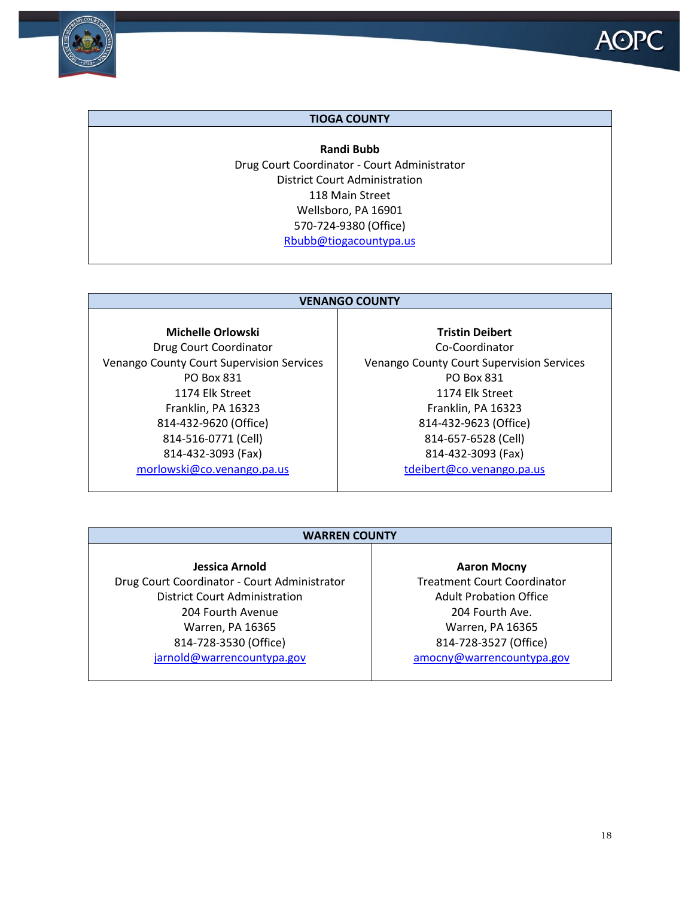

#### **TIOGA COUNTY**

**Randi Bubb** Drug Court Coordinator - Court Administrator District Court Administration 118 Main Street Wellsboro, PA 16901 570-724-9380 (Office) [Rbubb@tiogacountypa.us](mailto:Rbubb@tiogacountypa.us)

#### **VENANGO COUNTY**

**Michelle Orlowski** Drug Court Coordinator Venango County Court Supervision Services PO Box 831 1174 Elk Street Franklin, PA 16323 814-432-9620 (Office) 814-516-0771 (Cell) 814-432-3093 (Fax) [morlowski@co.venango.pa.us](mailto:morlowski@co.venango.pa.us)

**Tristin Deibert** Co-Coordinator Venango County Court Supervision Services PO Box 831 1174 Elk Street Franklin, PA 16323 814-432-9623 (Office) 814-657-6528 (Cell) 814-432-3093 (Fax) [tdeibert@co.venango.pa.us](mailto:tdeibert@co.venango.pa.us)

#### **WARREN COUNTY**

### **Jessica Arnold**

Drug Court Coordinator - Court Administrator District Court Administration 204 Fourth Avenue Warren, PA 16365 814-728-3530 (Office) [jarnold@warrencountypa.gov](mailto:jarnold@warrencountypa.gov)

**Aaron Mocny** Treatment Court Coordinator Adult Probation Office 204 Fourth Ave. Warren, PA 16365 814-728-3527 (Office) [amocny@warrenc](mailto:amocny@warren)ountypa.gov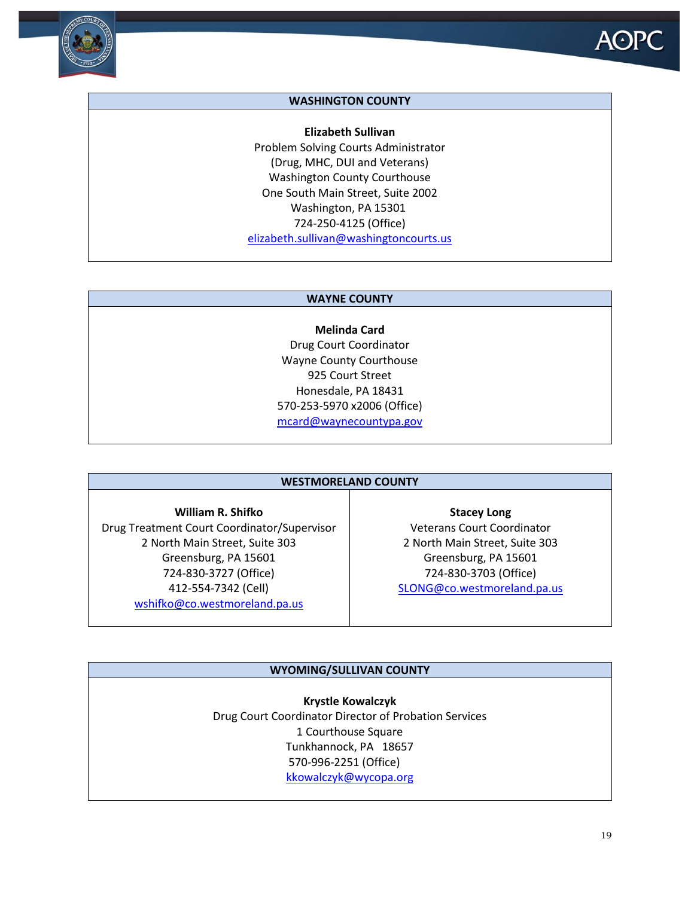



#### **WASHINGTON COUNTY**

**Elizabeth Sullivan** Problem Solving Courts Administrator (Drug, MHC, DUI and Veterans) Washington County Courthouse One South Main Street, Suite 2002 Washington, PA 15301 724-250-4125 (Office) [elizabeth.sullivan@washingtoncourts.us](mailto:elizabeth.sullivan@washingtoncourts.us) 

#### **WAYNE COUNTY**

**Melinda Card** Drug Court Coordinator Wayne County Courthouse 925 Court Street Honesdale, PA 18431 570-253-5970 x2006 (Office) [mcard@waynecountypa.gov](mailto:mcard@waynecountypa.gov)

#### **WESTMORELAND COUNTY**

**William R. Shifko** Drug Treatment Court Coordinator/Supervisor 2 North Main Street, Suite 303 Greensburg, PA 15601 724-830-3727 (Office) 412-554-7342 (Cell) [wshifko@co.westmoreland.pa.us](mailto:wshifko@co.westmoreland.pa.us)

**Stacey Long** Veterans Court Coordinator 2 North Main Street, Suite 303 Greensburg, PA 15601 724-830-3703 (Office) [SLONG@co.westmoreland.pa.us](mailto:SLONG@co.westmoreland.pa.us)

#### **WYOMING/SULLIVAN COUNTY**

**Krystle Kowalczyk** Drug Court Coordinator Director of Probation Services 1 Courthouse Square Tunkhannock, PA 18657 570-996-2251 (Office) [kkowalczyk@wycopa.org](mailto:kkowalczyk@wycopa.org)